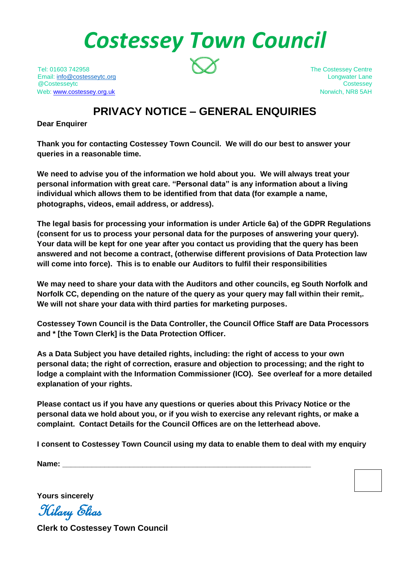# *Costessey Town Council*

Tel: 01603 742958 The Costessey Centre Email: [info@costesseytc.org](mailto:info@costesseytc.org) longwater Lane @Costesseytc Costessey Web[: www.costessey.org.uk](http://www.costessey.org.uk/) Norwich, NR8 5AH

## **PRIVACY NOTICE – GENERAL ENQUIRIES**

**Dear Enquirer**

**Thank you for contacting Costessey Town Council. We will do our best to answer your queries in a reasonable time.**

**We need to advise you of the information we hold about you. We will always treat your personal information with great care. "Personal data" is any information about a living individual which allows them to be identified from that data (for example a name, photographs, videos, email address, or address).** 

**The legal basis for processing your information is under Article 6a) of the GDPR Regulations (consent for us to process your personal data for the purposes of answering your query). Your data will be kept for one year after you contact us providing that the query has been answered and not become a contract, (otherwise different provisions of Data Protection law will come into force). This is to enable our Auditors to fulfil their responsibilities**

**We may need to share your data with the Auditors and other councils, eg South Norfolk and Norfolk CC, depending on the nature of the query as your query may fall within their remit,. We will not share your data with third parties for marketing purposes.**

**Costessey Town Council is the Data Controller, the Council Office Staff are Data Processors and \* [the Town Clerk] is the Data Protection Officer.**

**As a Data Subject you have detailed rights, including: the right of access to your own personal data; the right of correction, erasure and objection to processing; and the right to lodge a complaint with the Information Commissioner (ICO). See overleaf for a more detailed explanation of your rights.**

**Please contact us if you have any questions or queries about this Privacy Notice or the personal data we hold about you, or if you wish to exercise any relevant rights, or make a complaint. Contact Details for the Council Offices are on the letterhead above.**

**I consent to Costessey Town Council using my data to enable them to deal with my enquiry**

**Name: \_\_\_\_\_\_\_\_\_\_\_\_\_\_\_\_\_\_\_\_\_\_\_\_\_\_\_\_\_\_\_\_\_\_\_\_\_\_\_\_\_\_\_\_\_\_\_\_\_\_\_\_\_\_\_\_\_\_\_**

**Yours sincerely**

Hilary Elias

**Clerk to Costessey Town Council**